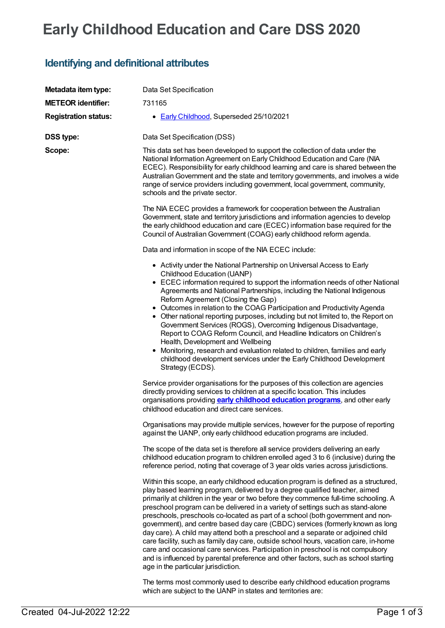# **Early Childhood Education and Care DSS 2020**

## **Identifying and definitional attributes**

| Metadata item type:         | Data Set Specification                                                                                                                                                                                                                                                                                                                                                                                                                                                                                                                                                                                                                                                                                                                                                                                                                                                                                         |
|-----------------------------|----------------------------------------------------------------------------------------------------------------------------------------------------------------------------------------------------------------------------------------------------------------------------------------------------------------------------------------------------------------------------------------------------------------------------------------------------------------------------------------------------------------------------------------------------------------------------------------------------------------------------------------------------------------------------------------------------------------------------------------------------------------------------------------------------------------------------------------------------------------------------------------------------------------|
| <b>METEOR identifier:</b>   | 731165                                                                                                                                                                                                                                                                                                                                                                                                                                                                                                                                                                                                                                                                                                                                                                                                                                                                                                         |
| <b>Registration status:</b> | • Early Childhood, Superseded 25/10/2021                                                                                                                                                                                                                                                                                                                                                                                                                                                                                                                                                                                                                                                                                                                                                                                                                                                                       |
| <b>DSS type:</b>            | Data Set Specification (DSS)                                                                                                                                                                                                                                                                                                                                                                                                                                                                                                                                                                                                                                                                                                                                                                                                                                                                                   |
| Scope:                      | This data set has been developed to support the collection of data under the<br>National Information Agreement on Early Childhood Education and Care (NIA<br>ECEC). Responsibility for early childhood learning and care is shared between the<br>Australian Government and the state and territory governments, and involves a wide<br>range of service providers including government, local government, community,<br>schools and the private sector.                                                                                                                                                                                                                                                                                                                                                                                                                                                       |
|                             | The NIA ECEC provides a framework for cooperation between the Australian<br>Government, state and territory jurisdictions and information agencies to develop<br>the early childhood education and care (ECEC) information base required for the<br>Council of Australian Government (COAG) early childhood reform agenda.                                                                                                                                                                                                                                                                                                                                                                                                                                                                                                                                                                                     |
|                             | Data and information in scope of the NIA ECEC include:                                                                                                                                                                                                                                                                                                                                                                                                                                                                                                                                                                                                                                                                                                                                                                                                                                                         |
|                             | • Activity under the National Partnership on Universal Access to Early<br>Childhood Education (UANP)<br>• ECEC information required to support the information needs of other National<br>Agreements and National Partnerships, including the National Indigenous<br>Reform Agreement (Closing the Gap)<br>• Outcomes in relation to the COAG Participation and Productivity Agenda<br>• Other national reporting purposes, including but not limited to, the Report on<br>Government Services (ROGS), Overcoming Indigenous Disadvantage,<br>Report to COAG Reform Council, and Headline Indicators on Children's<br>Health, Development and Wellbeing<br>Monitoring, research and evaluation related to children, families and early<br>childhood development services under the Early Childhood Development<br>Strategy (ECDS).                                                                             |
|                             | Service provider organisations for the purposes of this collection are agencies<br>directly providing services to children at a specific location. This includes<br>organisations providing <b>early childhood education programs</b> , and other early<br>childhood education and direct care services.                                                                                                                                                                                                                                                                                                                                                                                                                                                                                                                                                                                                       |
|                             | Organisations may provide multiple services, however for the purpose of reporting<br>against the UANP, only early childhood education programs are included.                                                                                                                                                                                                                                                                                                                                                                                                                                                                                                                                                                                                                                                                                                                                                   |
|                             | The scope of the data set is therefore all service providers delivering an early<br>childhood education program to children enrolled aged 3 to 6 (inclusive) during the<br>reference period, noting that coverage of 3 year olds varies across jurisdictions.                                                                                                                                                                                                                                                                                                                                                                                                                                                                                                                                                                                                                                                  |
|                             | Within this scope, an early childhood education program is defined as a structured,<br>play based learning program, delivered by a degree qualified teacher, aimed<br>primarily at children in the year or two before they commence full-time schooling. A<br>preschool program can be delivered in a variety of settings such as stand-alone<br>preschools, preschools co-located as part of a school (both government and non-<br>government), and centre based day care (CBDC) services (formerly known as long<br>day care). A child may attend both a preschool and a separate or adjoined child<br>care facility, such as family day care, outside school hours, vacation care, in-home<br>care and occasional care services. Participation in preschool is not compulsory<br>and is influenced by parental preference and other factors, such as school starting<br>age in the particular jurisdiction. |
|                             | The terms most commonly used to describe early childhood education programs                                                                                                                                                                                                                                                                                                                                                                                                                                                                                                                                                                                                                                                                                                                                                                                                                                    |

which are subject to the UANP in states and territories are: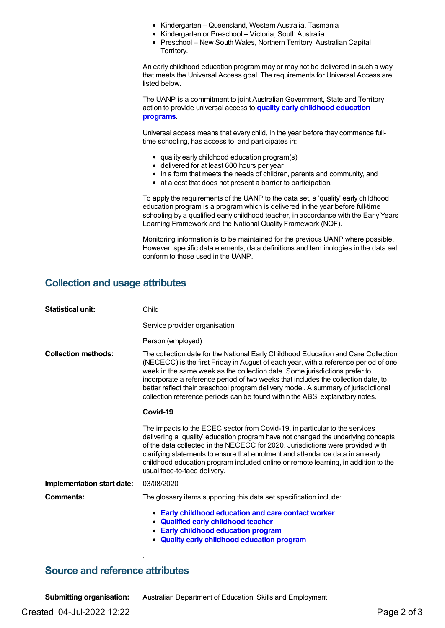- Kindergarten Queensland, Western Australia, Tasmania
- Kindergarten or Preschool Victoria, South Australia
- Preschool New South Wales, Northern Territory, Australian Capital Territory.

An early childhood education program may or may not be delivered in such a way that meets the Universal Access goal. The requirements for Universal Access are listed below.

The UANP is a commitment to joint Australian Government, State and Territory action to provide universal access to **quality early [childhood](https://meteor.aihw.gov.au/content/606533) education programs**.

Universal access means that every child, in the year before they commence fulltime schooling, has access to, and participates in:

- quality early childhood education program(s)
- delivered for at least 600 hours per year
- in a form that meets the needs of children, parents and community, and
- at a cost that does not present a barrier to participation.

To apply the requirements of the UANP to the data set, a 'quality' early childhood education program is a program which is delivered in the year before full-time schooling by a qualified early childhood teacher, in accordance with the Early Years Learning Framework and the National Quality Framework (NQF).

Monitoring information is to be maintained for the previous UANP where possible. However, specific data elements, data definitions and terminologies in the data set conform to those used in the UANP.

#### **Collection and usage attributes**

| <b>Statistical unit:</b>   | Child                                                                                                                                                                                                                                                                                                                                                                                                                                                                                                              |
|----------------------------|--------------------------------------------------------------------------------------------------------------------------------------------------------------------------------------------------------------------------------------------------------------------------------------------------------------------------------------------------------------------------------------------------------------------------------------------------------------------------------------------------------------------|
|                            | Service provider organisation                                                                                                                                                                                                                                                                                                                                                                                                                                                                                      |
|                            | Person (employed)                                                                                                                                                                                                                                                                                                                                                                                                                                                                                                  |
| <b>Collection methods:</b> | The collection date for the National Early Childhood Education and Care Collection<br>(NECECC) is the first Friday in August of each year, with a reference period of one<br>week in the same week as the collection date. Some jurisdictions prefer to<br>incorporate a reference period of two weeks that includes the collection date, to<br>better reflect their preschool program delivery model. A summary of jurisdictional<br>collection reference periods can be found within the ABS' explanatory notes. |
|                            | Covid-19                                                                                                                                                                                                                                                                                                                                                                                                                                                                                                           |
|                            | The impacts to the ECEC sector from Covid-19, in particular to the services<br>delivering a 'quality' education program have not changed the underlying concepts<br>of the data collected in the NECECC for 2020. Jurisdictions were provided with<br>clarifying statements to ensure that enrolment and attendance data in an early<br>childhood education program included online or remote learning, in addition to the<br>usual face-to-face delivery.                                                         |
| Implementation start date: | 03/08/2020                                                                                                                                                                                                                                                                                                                                                                                                                                                                                                         |
| Comments:                  | The glossary items supporting this data set specification include:                                                                                                                                                                                                                                                                                                                                                                                                                                                 |
|                            | • Early childhood education and care contact worker<br>• Qualified early childhood teacher<br><b>Early childhood education program</b><br><b>Quality early childhood education program</b>                                                                                                                                                                                                                                                                                                                         |

#### **Source and reference attributes**

**Submitting organisation:** Australian Department of Education, Skills and Employment